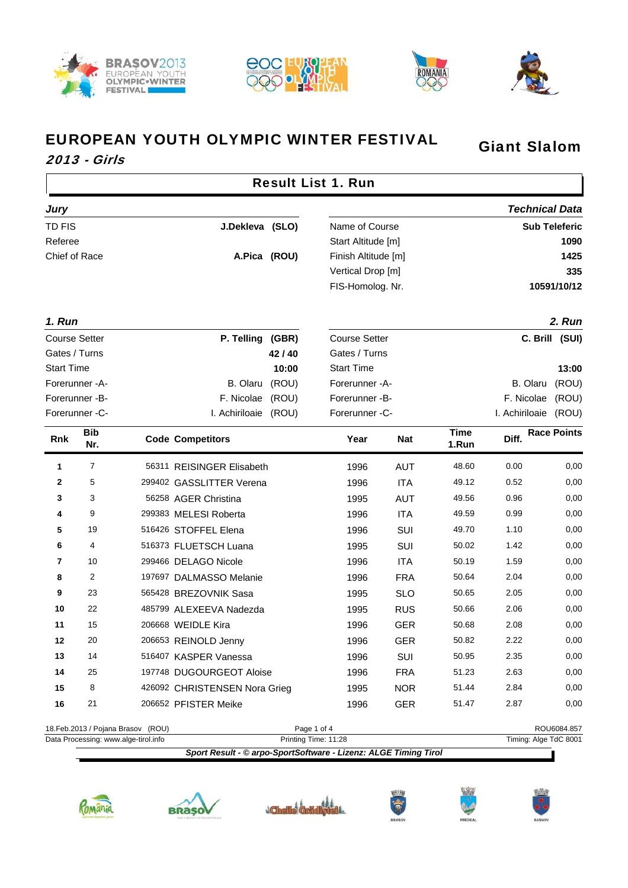







Giant Slalom

٦

# EUROPEAN YOUTH OLYMPIC WINTER FESTIVAL

## 2013 - Girls

 $\Gamma$ 

|                      |                                      |                                   |                                                                 |              | <b>Result List 1. Run</b>           |            |                      |                       |                      |
|----------------------|--------------------------------------|-----------------------------------|-----------------------------------------------------------------|--------------|-------------------------------------|------------|----------------------|-----------------------|----------------------|
| Jury                 |                                      |                                   |                                                                 |              |                                     |            |                      | <b>Technical Data</b> |                      |
| <b>TD FIS</b>        |                                      |                                   | J.Dekleva (SLO)                                                 |              | Name of Course                      |            |                      |                       | <b>Sub Teleferic</b> |
| Referee              |                                      |                                   |                                                                 |              | Start Altitude [m]                  |            |                      |                       | 1090                 |
| Chief of Race        |                                      |                                   |                                                                 | A.Pica (ROU) | Finish Altitude [m]                 |            |                      | 1425                  |                      |
|                      |                                      |                                   |                                                                 |              | Vertical Drop [m]                   |            |                      |                       | 335                  |
|                      |                                      |                                   |                                                                 |              | FIS-Homolog. Nr.                    |            |                      |                       | 10591/10/12          |
| 1. Run               |                                      |                                   |                                                                 |              |                                     |            |                      |                       | 2. Run               |
| <b>Course Setter</b> |                                      |                                   | P. Telling                                                      | (GBR)        | <b>Course Setter</b>                |            |                      |                       | C. Brill (SUI)       |
| Gates / Turns        |                                      |                                   |                                                                 | 42/40        | Gates / Turns                       |            |                      |                       |                      |
| <b>Start Time</b>    |                                      |                                   |                                                                 | 10:00        | <b>Start Time</b>                   |            |                      |                       | 13:00                |
|                      | Forerunner - A-                      |                                   | B. Olaru                                                        | (ROU)        | Forerunner - A-                     |            |                      | B. Olaru              | (ROU)                |
|                      | Forerunner -B-                       |                                   | F. Nicolae                                                      | (ROU)        | Forerunner -B-                      |            |                      | F. Nicolae            | (ROU)                |
|                      | Forerunner - C-                      |                                   | I. Achiriloaie                                                  | (ROU)        | Forerunner -C-                      |            |                      | I. Achiriloaie        | (ROU)                |
| Rnk                  | <b>Bib</b><br>Nr.                    |                                   | <b>Code Competitors</b>                                         |              | Year                                | <b>Nat</b> | <b>Time</b><br>1.Run | Diff.                 | <b>Race Points</b>   |
| 1                    | 7                                    |                                   | 56311 REISINGER Elisabeth                                       |              | 1996                                | <b>AUT</b> | 48.60                | 0.00                  | 0,00                 |
| 2                    | 5                                    |                                   | 299402 GASSLITTER Verena                                        |              | 1996                                | <b>ITA</b> | 49.12                | 0.52                  | 0,00                 |
| 3                    | 3                                    |                                   | 56258 AGER Christina                                            |              | 1995                                | <b>AUT</b> | 49.56                | 0.96                  | 0,00                 |
| 4                    | 9                                    |                                   | 299383 MELESI Roberta                                           |              | 1996                                | <b>ITA</b> | 49.59                | 0.99                  | 0,00                 |
| 5                    | 19                                   |                                   | 516426 STOFFEL Elena                                            |              | 1996                                | SUI        | 49.70                | 1.10                  | 0,00                 |
| 6                    | 4                                    |                                   | 516373 FLUETSCH Luana                                           |              | 1995                                | SUI        | 50.02                | 1.42                  | 0,00                 |
| 7                    | 10                                   |                                   | 299466 DELAGO Nicole                                            |              | 1996                                | <b>ITA</b> | 50.19                | 1.59                  | 0,00                 |
| 8                    | 2                                    |                                   | 197697 DALMASSO Melanie                                         |              | 1996                                | <b>FRA</b> | 50.64                | 2.04                  | 0,00                 |
| 9                    | 23                                   |                                   | 565428 BREZOVNIK Sasa                                           |              | 1995                                | <b>SLO</b> | 50.65                | 2.05                  | 0,00                 |
| 10                   | 22                                   |                                   | 485799 ALEXEEVA Nadezda                                         |              | 1995                                | <b>RUS</b> | 50.66                | 2.06                  | 0,00                 |
| 11                   | 15                                   |                                   | 206668 WEIDLE Kira                                              |              | 1996                                | <b>GER</b> | 50.68                | 2.08                  | 0,00                 |
| 12                   | 20                                   |                                   | 206653 REINOLD Jenny                                            |              | 1996                                | <b>GER</b> | 50.82                | 2.22                  | 0,00                 |
| 13                   | 14                                   |                                   | 516407 KASPER Vanessa                                           |              | 1996                                | SUI        | 50.95                | 2.35                  | 0,00                 |
| 14                   | 25                                   |                                   | 197748 DUGOURGEOT Aloise                                        |              | 1996                                | <b>FRA</b> | 51.23                | 2.63                  | 0,00                 |
| 15                   | 8                                    |                                   | 426092 CHRISTENSEN Nora Grieg                                   |              | 1995                                | <b>NOR</b> | 51.44                | 2.84                  | 0,00                 |
| 16                   | 21                                   |                                   | 206652 PFISTER Meike                                            |              | 1996                                | <b>GER</b> | 51.47                | 2.87                  | 0,00                 |
|                      | Data Processing: www.alge-tirol.info | 18.Feb.2013 / Pojana Brasov (ROU) |                                                                 |              | Page 1 of 4<br>Printing Time: 11:28 |            |                      | Timing: Alge TdC 8001 | ROU6084.857          |
|                      |                                      |                                   | Sport Result - © arpo-SportSoftware - Lizenz: ALGE Timing Tirol |              |                                     |            |                      |                       |                      |
|                      |                                      |                                   |                                                                 |              |                                     |            |                      |                       |                      |











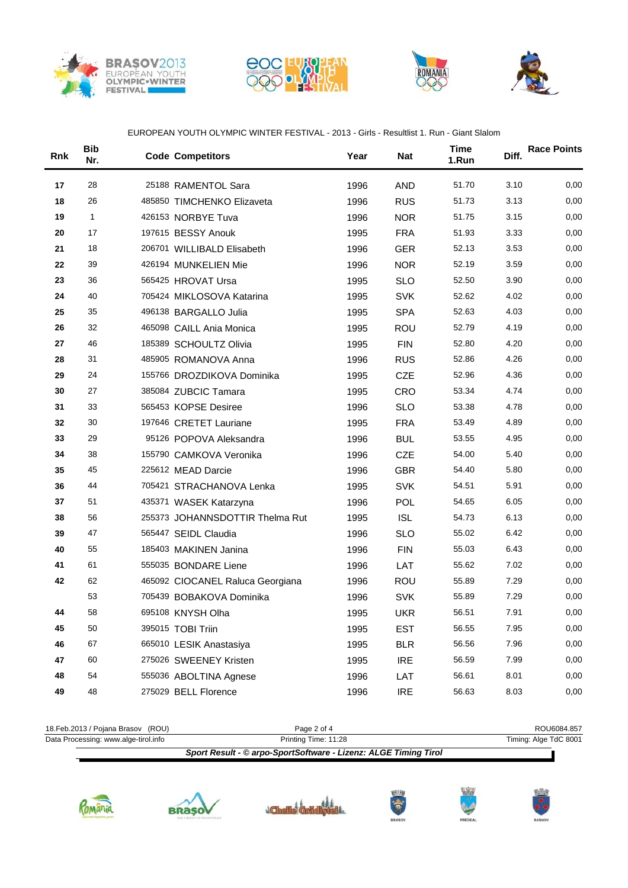







#### EUROPEAN YOUTH OLYMPIC WINTER FESTIVAL - 2013 - Girls - Resultlist 1. Run - Giant Slalom

| Rnk | <b>Bib</b><br>Nr. | <b>Code Competitors</b>          | Year | <b>Nat</b> | <b>Time</b><br>1.Run | Diff. | <b>Race Points</b> |
|-----|-------------------|----------------------------------|------|------------|----------------------|-------|--------------------|
| 17  | 28                | 25188 RAMENTOL Sara              | 1996 | <b>AND</b> | 51.70                | 3.10  | 0,00               |
| 18  | 26                | 485850 TIMCHENKO Elizaveta       | 1996 | <b>RUS</b> | 51.73                | 3.13  | 0,00               |
| 19  | $\mathbf{1}$      | 426153 NORBYE Tuva               | 1996 | <b>NOR</b> | 51.75                | 3.15  | 0,00               |
| 20  | 17                | 197615 BESSY Anouk               | 1995 | <b>FRA</b> | 51.93                | 3.33  | 0,00               |
| 21  | 18                | 206701 WILLIBALD Elisabeth       | 1996 | <b>GER</b> | 52.13                | 3.53  | 0,00               |
| 22  | 39                | 426194 MUNKELIEN Mie             | 1996 | <b>NOR</b> | 52.19                | 3.59  | 0,00               |
| 23  | 36                | 565425 HROVAT Ursa               | 1995 | <b>SLO</b> | 52.50                | 3.90  | 0,00               |
| 24  | 40                | 705424 MIKLOSOVA Katarina        | 1995 | <b>SVK</b> | 52.62                | 4.02  | 0,00               |
| 25  | 35                | 496138 BARGALLO Julia            | 1995 | <b>SPA</b> | 52.63                | 4.03  | 0,00               |
| 26  | 32                | 465098 CAILL Ania Monica         | 1995 | <b>ROU</b> | 52.79                | 4.19  | 0,00               |
| 27  | 46                | 185389 SCHOULTZ Olivia           | 1995 | <b>FIN</b> | 52.80                | 4.20  | 0,00               |
| 28  | 31                | 485905 ROMANOVA Anna             | 1996 | <b>RUS</b> | 52.86                | 4.26  | 0,00               |
| 29  | 24                | 155766 DROZDIKOVA Dominika       | 1995 | <b>CZE</b> | 52.96                | 4.36  | 0,00               |
| 30  | 27                | 385084 ZUBCIC Tamara             | 1995 | <b>CRO</b> | 53.34                | 4.74  | 0,00               |
| 31  | 33                | 565453 KOPSE Desiree             | 1996 | <b>SLO</b> | 53.38                | 4.78  | 0,00               |
| 32  | 30                | 197646 CRETET Lauriane           | 1995 | <b>FRA</b> | 53.49                | 4.89  | 0,00               |
| 33  | 29                | 95126 POPOVA Aleksandra          | 1996 | <b>BUL</b> | 53.55                | 4.95  | 0,00               |
| 34  | 38                | 155790 CAMKOVA Veronika          | 1996 | CZE        | 54.00                | 5.40  | 0,00               |
| 35  | 45                | 225612 MEAD Darcie               | 1996 | <b>GBR</b> | 54.40                | 5.80  | 0,00               |
| 36  | 44                | 705421 STRACHANOVA Lenka         | 1995 | <b>SVK</b> | 54.51                | 5.91  | 0,00               |
| 37  | 51                | 435371 WASEK Katarzyna           | 1996 | <b>POL</b> | 54.65                | 6.05  | 0,00               |
| 38  | 56                | 255373 JOHANNSDOTTIR Thelma Rut  | 1995 | <b>ISL</b> | 54.73                | 6.13  | 0,00               |
| 39  | 47                | 565447 SEIDL Claudia             | 1996 | <b>SLO</b> | 55.02                | 6.42  | 0,00               |
| 40  | 55                | 185403 MAKINEN Janina            | 1996 | <b>FIN</b> | 55.03                | 6.43  | 0,00               |
| 41  | 61                | 555035 BONDARE Liene             | 1996 | LAT        | 55.62                | 7.02  | 0,00               |
| 42  | 62                | 465092 CIOCANEL Raluca Georgiana | 1996 | ROU        | 55.89                | 7.29  | 0,00               |
|     | 53                | 705439 BOBAKOVA Dominika         | 1996 | <b>SVK</b> | 55.89                | 7.29  | 0,00               |
| 44  | 58                | 695108 KNYSH Olha                | 1995 | <b>UKR</b> | 56.51                | 7.91  | 0,00               |
| 45  | 50                | 395015 TOBI Triin                | 1995 | <b>EST</b> | 56.55                | 7.95  | 0,00               |
| 46  | 67                | 665010 LESIK Anastasiya          | 1995 | <b>BLR</b> | 56.56                | 7.96  | 0,00               |
| 47  | 60                | 275026 SWEENEY Kristen           | 1995 | <b>IRE</b> | 56.59                | 7.99  | 0,00               |
| 48  | 54                | 555036 ABOLTINA Agnese           | 1996 | LAT        | 56.61                | 8.01  | 0,00               |
| 49  | 48                | 275029 BELL Florence             | 1996 | <b>IRE</b> | 56.63                | 8.03  | 0,00               |
|     |                   |                                  |      |            |                      |       |                    |

| Sport Result - © arpo-SportSoftware - Lizenz: ALGE Timing Tirol |                       |  |
|-----------------------------------------------------------------|-----------------------|--|
| Printing Time: 11:28                                            | Timing: Alge TdC 8001 |  |
| Page 2 of 4                                                     | ROU6084.857           |  |
|                                                                 |                       |  |











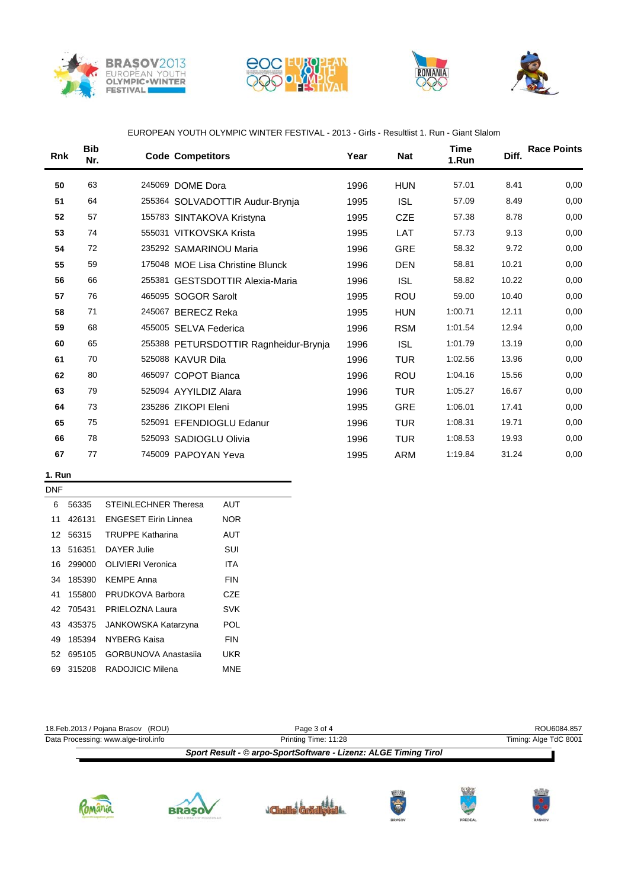







#### EUROPEAN YOUTH OLYMPIC WINTER FESTIVAL - 2013 - Girls - Resultlist 1. Run - Giant Slalom

| <b>Rnk</b> | <b>Bib</b><br>Nr. | <b>Code Competitors</b>               | Year | <b>Nat</b> | Time<br>1.Run | Diff. | <b>Race Points</b> |
|------------|-------------------|---------------------------------------|------|------------|---------------|-------|--------------------|
| 50         | 63                | 245069 DOME Dora                      | 1996 | <b>HUN</b> | 57.01         | 8.41  | 0,00               |
| 51         | 64                | 255364 SOLVADOTTIR Audur-Brynja       | 1995 | <b>ISL</b> | 57.09         | 8.49  | 0,00               |
| 52         | 57                | 155783 SINTAKOVA Kristyna             | 1995 | <b>CZE</b> | 57.38         | 8.78  | 0,00               |
| 53         | 74                | 555031 VITKOVSKA Krista               | 1995 | <b>LAT</b> | 57.73         | 9.13  | 0,00               |
| 54         | 72                | 235292 SAMARINOU Maria                | 1996 | <b>GRE</b> | 58.32         | 9.72  | 0,00               |
| 55         | 59                | 175048 MOE Lisa Christine Blunck      | 1996 | <b>DEN</b> | 58.81         | 10.21 | 0,00               |
| 56         | 66                | 255381 GESTSDOTTIR Alexia-Maria       | 1996 | <b>ISL</b> | 58.82         | 10.22 | 0,00               |
| 57         | 76                | 465095 SOGOR Sarolt                   | 1995 | ROU        | 59.00         | 10.40 | 0,00               |
| 58         | 71                | 245067 BERECZ Reka                    | 1995 | <b>HUN</b> | 1:00.71       | 12.11 | 0,00               |
| 59         | 68                | 455005 SELVA Federica                 | 1996 | <b>RSM</b> | 1:01.54       | 12.94 | 0,00               |
| 60         | 65                | 255388 PETURSDOTTIR Ragnheidur-Brynja | 1996 | <b>ISL</b> | 1:01.79       | 13.19 | 0,00               |
| 61         | 70                | 525088 KAVUR Dila                     | 1996 | <b>TUR</b> | 1:02.56       | 13.96 | 0,00               |
| 62         | 80                | 465097 COPOT Bianca                   | 1996 | ROU        | 1:04.16       | 15.56 | 0,00               |
| 63         | 79                | 525094 AYYILDIZ Alara                 | 1996 | <b>TUR</b> | 1:05.27       | 16.67 | 0,00               |
| 64         | 73                | 235286 ZIKOPI Eleni                   | 1995 | <b>GRE</b> | 1:06.01       | 17.41 | 0,00               |
| 65         | 75                | 525091 EFENDIOGLU Edanur              | 1996 | <b>TUR</b> | 1:08.31       | 19.71 | 0,00               |
| 66         | 78                | 525093 SADIOGLU Olivia                | 1996 | <b>TUR</b> | 1:08.53       | 19.93 | 0,00               |
| 67         | 77                | 745009 PAPOYAN Yeva                   | 1995 | ARM        | 1:19.84       | 31.24 | 0,00               |
|            |                   |                                       |      |            |               |       |                    |

#### **1. Run**

| DNF |        |                             |            |  |
|-----|--------|-----------------------------|------------|--|
| 6   | 56335  | STEINLECHNER Theresa        | AUT        |  |
| 11  | 426131 | <b>ENGESET Eirin Linnea</b> | NOR        |  |
| 12  | 56315  | <b>TRUPPE Katharina</b>     | AUT        |  |
| 13  | 516351 | DAYER Julie                 | SUI        |  |
| 16  | 299000 | OLIVIERI Veronica           | ITA        |  |
| 34  | 185390 | <b>KFMPF Anna</b>           | <b>FIN</b> |  |
| 41  | 155800 | PRUDKOVA Barbora            | CZE.       |  |
| 42  | 705431 | PRIFI OZNA Laura            | SVK        |  |
| 43  | 435375 | <b>JANKOWSKA Katarzyna</b>  | POL        |  |
| 49  | 185394 | NYBERG Kaisa                | <b>FIN</b> |  |
| 52  | 695105 | <b>GORBUNOVA Anastasija</b> | UKR        |  |
| 69  | 315208 | RADOJICIC Milena            | MNE        |  |

| 18. Feb. 2013 / Pojana Brasov (ROU)  | Page 3 of 4                                                     | ROU6084.857           |
|--------------------------------------|-----------------------------------------------------------------|-----------------------|
| Data Processing: www.alge-tirol.info | Printing Time: 11:28                                            | Timing: Alge TdC 8001 |
|                                      | Sport Result - © arpo-SportSoftware - Lizenz: ALGE Timing Tirol |                       |
|                                      |                                                                 |                       |
|                                      |                                                                 |                       |